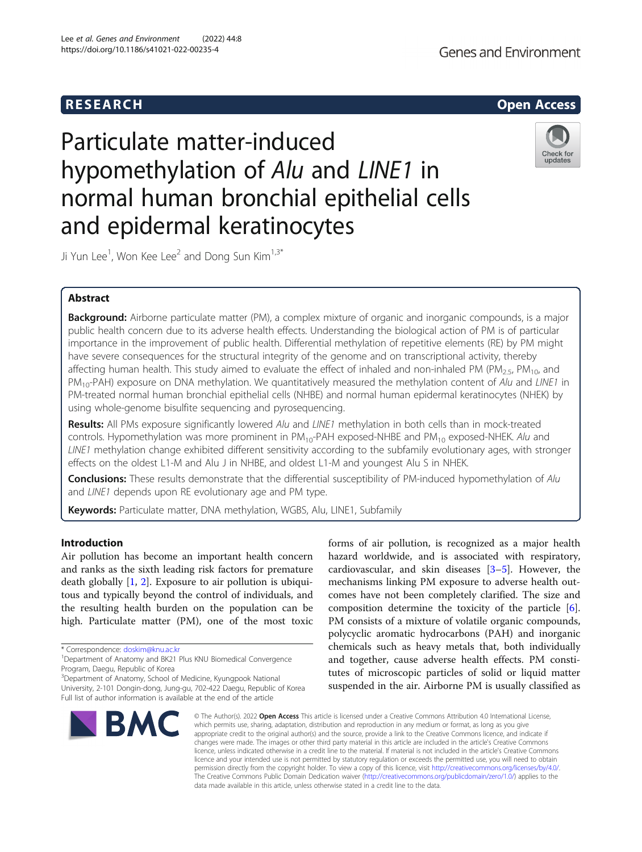# R E S EAR CH Open Access

# Particulate matter-induced hypomethylation of Alu and LINE1 in normal human bronchial epithelial cells and epidermal keratinocytes



Ji Yun Lee $^1$ , Won Kee Lee $^2$  and Dong Sun Kim $^{1,3^*}$ 

# Abstract

Background: Airborne particulate matter (PM), a complex mixture of organic and inorganic compounds, is a major public health concern due to its adverse health effects. Understanding the biological action of PM is of particular importance in the improvement of public health. Differential methylation of repetitive elements (RE) by PM might have severe consequences for the structural integrity of the genome and on transcriptional activity, thereby affecting human health. This study aimed to evaluate the effect of inhaled and non-inhaled PM (PM<sub>2.5</sub>, PM<sub>10</sub>, and PM<sub>10</sub>-PAH) exposure on DNA methylation. We quantitatively measured the methylation content of Alu and LINE1 in PM-treated normal human bronchial epithelial cells (NHBE) and normal human epidermal keratinocytes (NHEK) by using whole-genome bisulfite sequencing and pyrosequencing.

Results: All PMs exposure significantly lowered Alu and LINE1 methylation in both cells than in mock-treated controls. Hypomethylation was more prominent in  $PM_{10}$ -PAH exposed-NHBE and  $PM_{10}$  exposed-NHEK. Alu and LINE1 methylation change exhibited different sensitivity according to the subfamily evolutionary ages, with stronger effects on the oldest L1-M and Alu J in NHBE, and oldest L1-M and youngest Alu S in NHEK.

**Conclusions:** These results demonstrate that the differential susceptibility of PM-induced hypomethylation of Alu and LINE1 depends upon RE evolutionary age and PM type.

Keywords: Particulate matter, DNA methylation, WGBS, Alu, LINE1, Subfamily

# Introduction

Air pollution has become an important health concern and ranks as the sixth leading risk factors for premature death globally [\[1](#page-6-0), [2\]](#page-6-0). Exposure to air pollution is ubiquitous and typically beyond the control of individuals, and the resulting health burden on the population can be high. Particulate matter (PM), one of the most toxic

<sup>3</sup>Department of Anatomy, School of Medicine, Kyungpook National University, 2-101 Dongin-dong, Jung-gu, 702-422 Daegu, Republic of Korea Full list of author information is available at the end of the article



forms of air pollution, is recognized as a major health hazard worldwide, and is associated with respiratory, cardiovascular, and skin diseases [[3](#page-6-0)–[5\]](#page-6-0). However, the mechanisms linking PM exposure to adverse health outcomes have not been completely clarified. The size and composition determine the toxicity of the particle [\[6](#page-6-0)]. PM consists of a mixture of volatile organic compounds, polycyclic aromatic hydrocarbons (PAH) and inorganic chemicals such as heavy metals that, both individually and together, cause adverse health effects. PM constitutes of microscopic particles of solid or liquid matter suspended in the air. Airborne PM is usually classified as

© The Author(s), 2022 **Open Access** This article is licensed under a Creative Commons Attribution 4.0 International License, which permits use, sharing, adaptation, distribution and reproduction in any medium or format, as long as you give appropriate credit to the original author(s) and the source, provide a link to the Creative Commons licence, and indicate if changes were made. The images or other third party material in this article are included in the article's Creative Commons licence, unless indicated otherwise in a credit line to the material. If material is not included in the article's Creative Commons licence and your intended use is not permitted by statutory regulation or exceeds the permitted use, you will need to obtain permission directly from the copyright holder. To view a copy of this licence, visit [http://creativecommons.org/licenses/by/4.0/.](http://creativecommons.org/licenses/by/4.0/) The Creative Commons Public Domain Dedication waiver [\(http://creativecommons.org/publicdomain/zero/1.0/](http://creativecommons.org/publicdomain/zero/1.0/)) applies to the data made available in this article, unless otherwise stated in a credit line to the data.

<sup>\*</sup> Correspondence: [doskim@knu.ac.kr](mailto:doskim@knu.ac.kr) <sup>1</sup>

<sup>&</sup>lt;sup>1</sup>Department of Anatomy and BK21 Plus KNU Biomedical Convergence Program, Daegu, Republic of Korea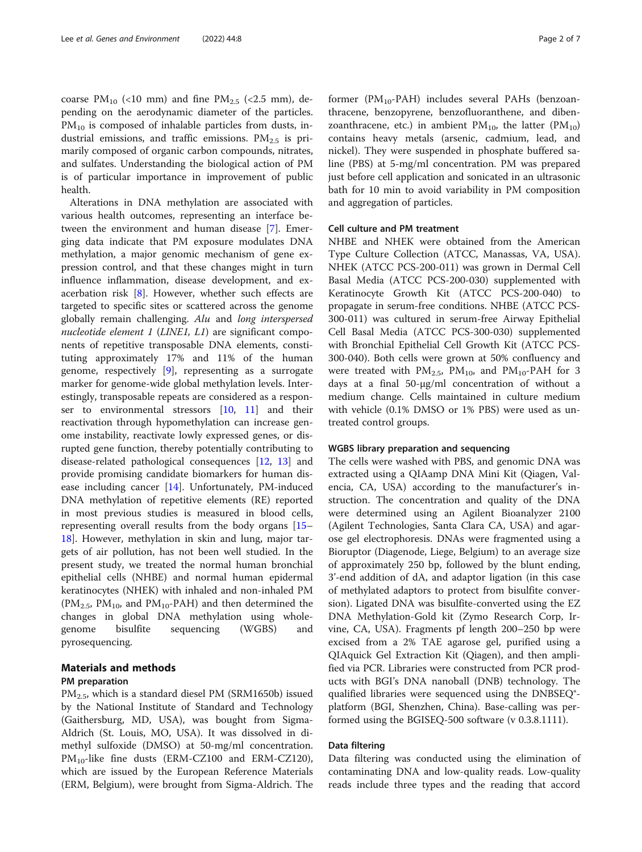coarse PM<sub>10</sub> (<10 mm) and fine PM<sub>2.5</sub> (<2.5 mm), depending on the aerodynamic diameter of the particles.  $PM_{10}$  is composed of inhalable particles from dusts, industrial emissions, and traffic emissions.  $PM_{2.5}$  is primarily composed of organic carbon compounds, nitrates, and sulfates. Understanding the biological action of PM is of particular importance in improvement of public health.

Alterations in DNA methylation are associated with various health outcomes, representing an interface between the environment and human disease [\[7](#page-6-0)]. Emerging data indicate that PM exposure modulates DNA methylation, a major genomic mechanism of gene expression control, and that these changes might in turn influence inflammation, disease development, and exacerbation risk [\[8](#page-6-0)]. However, whether such effects are targeted to specific sites or scattered across the genome globally remain challenging. Alu and long interspersed nucleotide element  $1$  (LINE1, L1) are significant components of repetitive transposable DNA elements, constituting approximately 17% and 11% of the human genome, respectively [\[9\]](#page-6-0), representing as a surrogate marker for genome-wide global methylation levels. Interestingly, transposable repeats are considered as a responser to environmental stressors [[10,](#page-6-0) [11\]](#page-6-0) and their reactivation through hypomethylation can increase genome instability, reactivate lowly expressed genes, or disrupted gene function, thereby potentially contributing to disease-related pathological consequences [\[12](#page-6-0), [13](#page-6-0)] and provide promising candidate biomarkers for human disease including cancer [[14\]](#page-6-0). Unfortunately, PM-induced DNA methylation of repetitive elements (RE) reported in most previous studies is measured in blood cells, representing overall results from the body organs [[15](#page-6-0)– [18\]](#page-6-0). However, methylation in skin and lung, major targets of air pollution, has not been well studied. In the present study, we treated the normal human bronchial epithelial cells (NHBE) and normal human epidermal keratinocytes (NHEK) with inhaled and non-inhaled PM  $(PM_{2.5}, PM_{10}, and PM_{10}-PAH)$  and then determined the changes in global DNA methylation using wholegenome bisulfite sequencing (WGBS) and pyrosequencing.

# Materials and methods

# PM preparation

PM2.5, which is a standard diesel PM (SRM1650b) issued by the National Institute of Standard and Technology (Gaithersburg, MD, USA), was bought from Sigma-Aldrich (St. Louis, MO, USA). It was dissolved in dimethyl sulfoxide (DMSO) at 50-mg/ml concentration.  $PM_{10}$ -like fine dusts (ERM-CZ100 and ERM-CZ120), which are issued by the European Reference Materials (ERM, Belgium), were brought from Sigma-Aldrich. The

former ( $PM_{10}$ -PAH) includes several PAHs (benzoanthracene, benzopyrene, benzofluoranthene, and dibenzoanthracene, etc.) in ambient  $PM_{10}$ , the latter  $(PM_{10})$ contains heavy metals (arsenic, cadmium, lead, and nickel). They were suspended in phosphate buffered saline (PBS) at 5-mg/ml concentration. PM was prepared just before cell application and sonicated in an ultrasonic bath for 10 min to avoid variability in PM composition and aggregation of particles.

# Cell culture and PM treatment

NHBE and NHEK were obtained from the American Type Culture Collection (ATCC, Manassas, VA, USA). NHEK (ATCC PCS-200-011) was grown in Dermal Cell Basal Media (ATCC PCS-200-030) supplemented with Keratinocyte Growth Kit (ATCC PCS-200-040) to propagate in serum-free conditions. NHBE (ATCC PCS-300-011) was cultured in serum-free Airway Epithelial Cell Basal Media (ATCC PCS-300-030) supplemented with Bronchial Epithelial Cell Growth Kit (ATCC PCS-300-040). Both cells were grown at 50% confluency and were treated with  $PM_{2.5}$ ,  $PM_{10}$ , and  $PM_{10}$ -PAH for 3 days at a final 50-µg/ml concentration of without a medium change. Cells maintained in culture medium with vehicle (0.1% DMSO or 1% PBS) were used as untreated control groups.

# WGBS library preparation and sequencing

The cells were washed with PBS, and genomic DNA was extracted using a QIAamp DNA Mini Kit (Qiagen, Valencia, CA, USA) according to the manufacturer's instruction. The concentration and quality of the DNA were determined using an Agilent Bioanalyzer 2100 (Agilent Technologies, Santa Clara CA, USA) and agarose gel electrophoresis. DNAs were fragmented using a Bioruptor (Diagenode, Liege, Belgium) to an average size of approximately 250 bp, followed by the blunt ending, 3'-end addition of dA, and adaptor ligation (in this case of methylated adaptors to protect from bisulfite conversion). Ligated DNA was bisulfite-converted using the EZ DNA Methylation-Gold kit (Zymo Research Corp, Irvine, CA, USA). Fragments pf length 200–250 bp were excised from a 2% TAE agarose gel, purified using a QIAquick Gel Extraction Kit (Qiagen), and then amplified via PCR. Libraries were constructed from PCR products with BGI's DNA nanoball (DNB) technology. The qualified libraries were sequenced using the DNBSEQ® platform (BGI, Shenzhen, China). Base-calling was performed using the BGISEQ-500 software (v 0.3.8.1111).

# Data filtering

Data filtering was conducted using the elimination of contaminating DNA and low-quality reads. Low-quality reads include three types and the reading that accord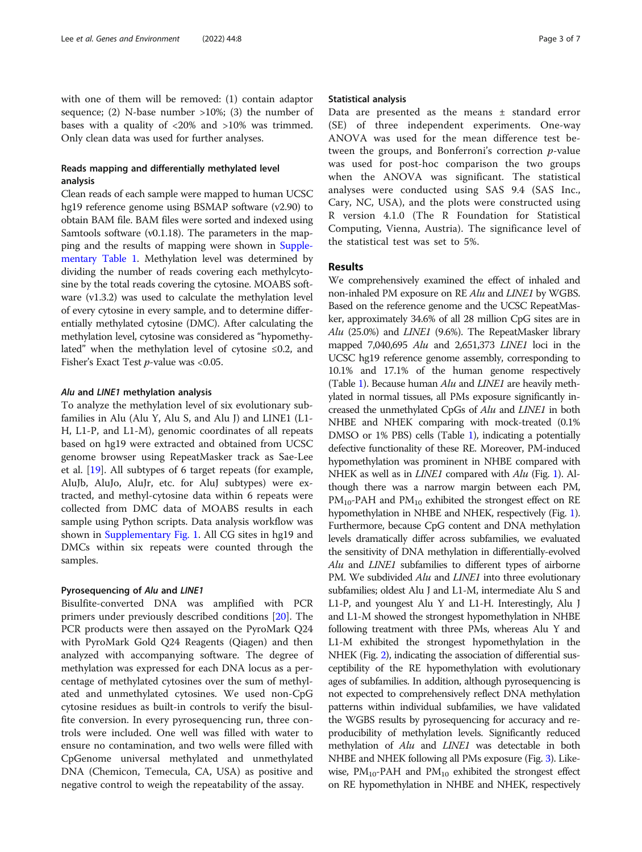with one of them will be removed: (1) contain adaptor sequence; (2) N-base number  $>10\%$ ; (3) the number of bases with a quality of <20% and >10% was trimmed. Only clean data was used for further analyses.

# Reads mapping and differentially methylated level analysis

Clean reads of each sample were mapped to human UCSC hg19 reference genome using BSMAP software (v2.90) to obtain BAM file. BAM files were sorted and indexed using Samtools software (v0.1.18). The parameters in the mapping and the results of mapping were shown in [Supple](#page-5-0)[mentary Table 1](#page-5-0). Methylation level was determined by dividing the number of reads covering each methylcytosine by the total reads covering the cytosine. MOABS software (v1.3.2) was used to calculate the methylation level of every cytosine in every sample, and to determine differentially methylated cytosine (DMC). After calculating the methylation level, cytosine was considered as "hypomethylated" when the methylation level of cytosine ≤0.2, and Fisher's Exact Test  $p$ -value was <0.05.

# Alu and LINE1 methylation analysis

To analyze the methylation level of six evolutionary subfamilies in Alu (Alu Y, Alu S, and Alu J) and LINE1 (L1- H, L1-P, and L1-M), genomic coordinates of all repeats based on hg19 were extracted and obtained from UCSC genome browser using RepeatMasker track as Sae-Lee et al. [[19](#page-6-0)]. All subtypes of 6 target repeats (for example, AluJb, AluJo, AluJr, etc. for AluJ subtypes) were extracted, and methyl-cytosine data within 6 repeats were collected from DMC data of MOABS results in each sample using Python scripts. Data analysis workflow was shown in [Supplementary Fig. 1.](#page-5-0) All CG sites in hg19 and DMCs within six repeats were counted through the samples.

# Pyrosequencing of Alu and LINE1

Bisulfite-converted DNA was amplified with PCR primers under previously described conditions [[20](#page-6-0)]. The PCR products were then assayed on the PyroMark Q24 with PyroMark Gold Q24 Reagents (Qiagen) and then analyzed with accompanying software. The degree of methylation was expressed for each DNA locus as a percentage of methylated cytosines over the sum of methylated and unmethylated cytosines. We used non-CpG cytosine residues as built-in controls to verify the bisulfite conversion. In every pyrosequencing run, three controls were included. One well was filled with water to ensure no contamination, and two wells were filled with CpGenome universal methylated and unmethylated DNA (Chemicon, Temecula, CA, USA) as positive and negative control to weigh the repeatability of the assay.

# Statistical analysis

Data are presented as the means ± standard error (SE) of three independent experiments. One-way ANOVA was used for the mean difference test between the groups, and Bonferroni's correction p-value was used for post-hoc comparison the two groups when the ANOVA was significant. The statistical analyses were conducted using SAS 9.4 (SAS Inc., Cary, NC, USA), and the plots were constructed using R version 4.1.0 (The R Foundation for Statistical Computing, Vienna, Austria). The significance level of the statistical test was set to 5%.

# Results

We comprehensively examined the effect of inhaled and non-inhaled PM exposure on RE Alu and LINE1 by WGBS. Based on the reference genome and the UCSC RepeatMasker, approximately 34.6% of all 28 million CpG sites are in Alu (25.0%) and LINE1 (9.6%). The RepeatMasker library mapped 7,040,695 Alu and 2,651,373 LINE1 loci in the UCSC hg19 reference genome assembly, corresponding to 10.1% and 17.1% of the human genome respectively (Table [1](#page-3-0)). Because human Alu and LINE1 are heavily methylated in normal tissues, all PMs exposure significantly increased the unmethylated CpGs of Alu and LINE1 in both NHBE and NHEK comparing with mock-treated (0.1% DMSO or 1% PBS) cells (Table [1](#page-3-0)), indicating a potentially defective functionality of these RE. Moreover, PM-induced hypomethylation was prominent in NHBE compared with NHEK as well as in *LINE1* compared with *Alu* (Fig. [1\)](#page-3-0). Although there was a narrow margin between each PM,  $PM_{10}$ -PAH and  $PM_{10}$  exhibited the strongest effect on RE hypomethylation in NHBE and NHEK, respectively (Fig. [1](#page-3-0)). Furthermore, because CpG content and DNA methylation levels dramatically differ across subfamilies, we evaluated the sensitivity of DNA methylation in differentially-evolved Alu and LINE1 subfamilies to different types of airborne PM. We subdivided Alu and LINE1 into three evolutionary subfamilies; oldest Alu J and L1-M, intermediate Alu S and L1-P, and youngest Alu Y and L1-H. Interestingly, Alu J and L1-M showed the strongest hypomethylation in NHBE following treatment with three PMs, whereas Alu Y and L1-M exhibited the strongest hypomethylation in the NHEK (Fig. [2](#page-4-0)), indicating the association of differential susceptibility of the RE hypomethylation with evolutionary ages of subfamilies. In addition, although pyrosequencing is not expected to comprehensively reflect DNA methylation patterns within individual subfamilies, we have validated the WGBS results by pyrosequencing for accuracy and reproducibility of methylation levels. Significantly reduced methylation of Alu and LINE1 was detectable in both NHBE and NHEK following all PMs exposure (Fig. [3\)](#page-4-0). Likewise,  $PM_{10}$ -PAH and  $PM_{10}$  exhibited the strongest effect on RE hypomethylation in NHBE and NHEK, respectively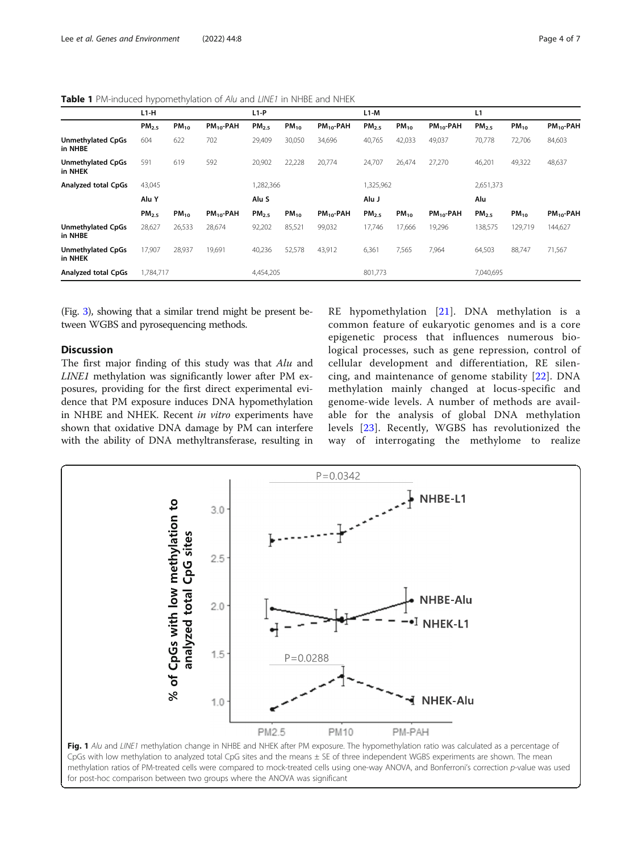<span id="page-3-0"></span>Table 1 PM-induced hypomethylation of Alu and LINE1 in NHBE and NHEK

|                                     | $L1-H$            |           |                | $L1-P$            |           |                | $L1-M$            |           |                | L1                |           |                |
|-------------------------------------|-------------------|-----------|----------------|-------------------|-----------|----------------|-------------------|-----------|----------------|-------------------|-----------|----------------|
|                                     | PM <sub>2.5</sub> | $PM_{10}$ | $PM_{10}$ -PAH | PM <sub>2.5</sub> | $PM_{10}$ | $PM_{10}$ -PAH | PM <sub>2.5</sub> | $PM_{10}$ | $PM_{10}$ -PAH | PM <sub>2.5</sub> | $PM_{10}$ | $PM_{10}$ -PAH |
| <b>Unmethylated CpGs</b><br>in NHBE | 604               | 622       | 702            | 29,409            | 30,050    | 34,696         | 40,765            | 42,033    | 49,037         | 70,778            | 72,706    | 84,603         |
| <b>Unmethylated CpGs</b><br>in NHEK | 591               | 619       | 592            | 20,902            | 22,228    | 20,774         | 24,707            | 26.474    | 27,270         | 46,201            | 49,322    | 48,637         |
| <b>Analyzed total CpGs</b>          | 43,045            |           |                | 1,282,366         |           |                | 1,325,962         |           |                | 2,651,373         |           |                |
|                                     | Alu Y             |           |                | Alu S             |           |                | Alu J             |           |                | Alu               |           |                |
|                                     | PM <sub>2.5</sub> | $PM_{10}$ | $PM_{10}$ -PAH | PM <sub>2.5</sub> | $PM_{10}$ | $PM_{10}$ -PAH | PM <sub>2.5</sub> | $PM_{10}$ | $PM_{10}$ -PAH | PM <sub>2.5</sub> | $PM_{10}$ | $PM_{10}$ -PAH |
| <b>Unmethylated CpGs</b><br>in NHBE | 28,627            | 26,533    | 28,674         | 92,202            | 85,521    | 99,032         | 17,746            | 17,666    | 19,296         | 138,575           | 129,719   | 144,627        |
| <b>Unmethylated CpGs</b><br>in NHEK | 17,907            | 28,937    | 19,691         | 40,236            | 52,578    | 43,912         | 6,361             | 7,565     | 7,964          | 64,503            | 88,747    | 71,567         |
| <b>Analyzed total CpGs</b>          | 1,784,717         |           |                | 4,454,205         |           |                | 801,773           |           |                | 7,040,695         |           |                |

(Fig. [3\)](#page-4-0), showing that a similar trend might be present between WGBS and pyrosequencing methods.

# **Discussion**

The first major finding of this study was that Alu and LINE1 methylation was significantly lower after PM exposures, providing for the first direct experimental evidence that PM exposure induces DNA hypomethylation in NHBE and NHEK. Recent in vitro experiments have shown that oxidative DNA damage by PM can interfere with the ability of DNA methyltransferase, resulting in

RE hypomethylation [\[21](#page-6-0)]. DNA methylation is a common feature of eukaryotic genomes and is a core epigenetic process that influences numerous biological processes, such as gene repression, control of cellular development and differentiation, RE silencing, and maintenance of genome stability [[22](#page-6-0)]. DNA methylation mainly changed at locus-specific and genome-wide levels. A number of methods are available for the analysis of global DNA methylation levels [\[23\]](#page-6-0). Recently, WGBS has revolutionized the way of interrogating the methylome to realize



CpGs with low methylation to analyzed total CpG sites and the means ± SE of three independent WGBS experiments are shown. The mean methylation ratios of PM-treated cells were compared to mock-treated cells using one-way ANOVA, and Bonferroni's correction p-value was used for post-hoc comparison between two groups where the ANOVA was significant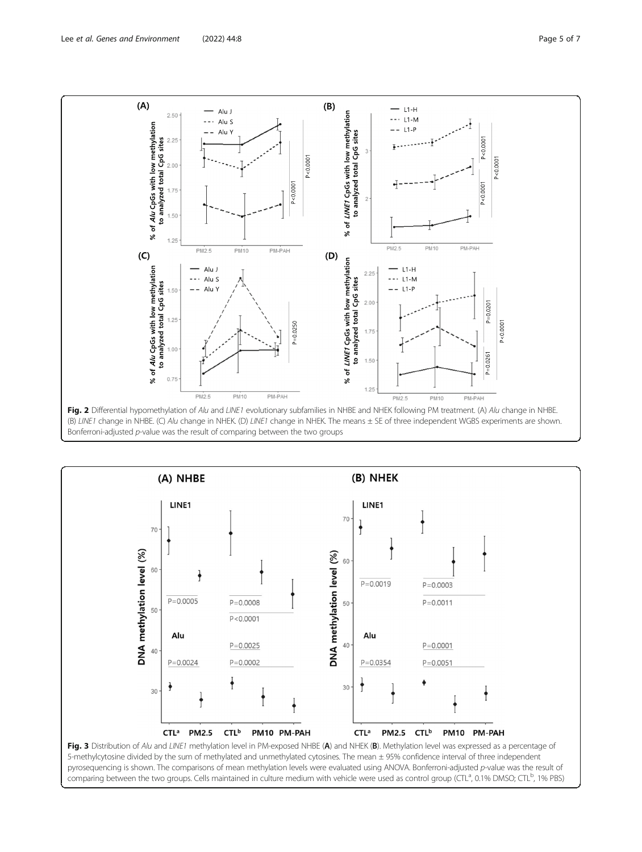<span id="page-4-0"></span>

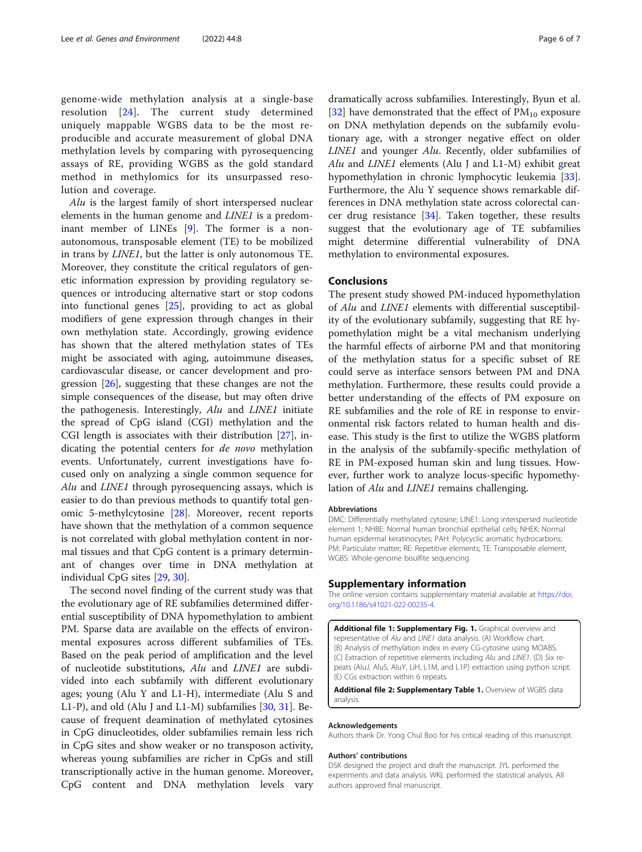<span id="page-5-0"></span>genome-wide methylation analysis at a single-base resolution [\[24\]](#page-6-0). The current study determined uniquely mappable WGBS data to be the most reproducible and accurate measurement of global DNA methylation levels by comparing with pyrosequencing assays of RE, providing WGBS as the gold standard method in methylomics for its unsurpassed resolution and coverage.

Alu is the largest family of short interspersed nuclear elements in the human genome and LINE1 is a predom-inant member of LINEs [[9\]](#page-6-0). The former is a nonautonomous, transposable element (TE) to be mobilized in trans by LINE1, but the latter is only autonomous TE. Moreover, they constitute the critical regulators of genetic information expression by providing regulatory sequences or introducing alternative start or stop codons into functional genes [\[25](#page-6-0)], providing to act as global modifiers of gene expression through changes in their own methylation state. Accordingly, growing evidence has shown that the altered methylation states of TEs might be associated with aging, autoimmune diseases, cardiovascular disease, or cancer development and progression [\[26\]](#page-6-0), suggesting that these changes are not the simple consequences of the disease, but may often drive the pathogenesis. Interestingly, Alu and LINE1 initiate the spread of CpG island (CGI) methylation and the CGI length is associates with their distribution [\[27\]](#page-6-0), indicating the potential centers for de novo methylation events. Unfortunately, current investigations have focused only on analyzing a single common sequence for Alu and LINE1 through pyrosequencing assays, which is easier to do than previous methods to quantify total genomic 5-methylcytosine [\[28](#page-6-0)]. Moreover, recent reports have shown that the methylation of a common sequence is not correlated with global methylation content in normal tissues and that CpG content is a primary determinant of changes over time in DNA methylation at individual CpG sites [[29,](#page-6-0) [30\]](#page-6-0).

The second novel finding of the current study was that the evolutionary age of RE subfamilies determined differential susceptibility of DNA hypomethylation to ambient PM. Sparse data are available on the effects of environmental exposures across different subfamilies of TEs. Based on the peak period of amplification and the level of nucleotide substitutions, Alu and LINE1 are subdivided into each subfamily with different evolutionary ages; young (Alu Y and L1-H), intermediate (Alu S and L1-P), and old (Alu J and L1-M) subfamilies  $[30, 31]$  $[30, 31]$  $[30, 31]$  $[30, 31]$ . Because of frequent deamination of methylated cytosines in CpG dinucleotides, older subfamilies remain less rich in CpG sites and show weaker or no transposon activity, whereas young subfamilies are richer in CpGs and still transcriptionally active in the human genome. Moreover, CpG content and DNA methylation levels vary

dramatically across subfamilies. Interestingly, Byun et al. [[32\]](#page-6-0) have demonstrated that the effect of  $PM_{10}$  exposure on DNA methylation depends on the subfamily evolutionary age, with a stronger negative effect on older LINE1 and younger Alu. Recently, older subfamilies of Alu and LINE1 elements (Alu J and L1-M) exhibit great hypomethylation in chronic lymphocytic leukemia [\[33](#page-6-0)]. Furthermore, the Alu Y sequence shows remarkable differences in DNA methylation state across colorectal cancer drug resistance [\[34\]](#page-6-0). Taken together, these results suggest that the evolutionary age of TE subfamilies might determine differential vulnerability of DNA methylation to environmental exposures.

# Conclusions

The present study showed PM-induced hypomethylation of Alu and LINE1 elements with differential susceptibility of the evolutionary subfamily, suggesting that RE hypomethylation might be a vital mechanism underlying the harmful effects of airborne PM and that monitoring of the methylation status for a specific subset of RE could serve as interface sensors between PM and DNA methylation. Furthermore, these results could provide a better understanding of the effects of PM exposure on RE subfamilies and the role of RE in response to environmental risk factors related to human health and disease. This study is the first to utilize the WGBS platform in the analysis of the subfamily-specific methylation of RE in PM-exposed human skin and lung tissues. However, further work to analyze locus-specific hypomethylation of Alu and LINE1 remains challenging.

#### **Abbreviations**

DMC: Differentially methylated cytosine; LINE1: Long interspersed nucleotide element 1; NHBE: Normal human bronchial epithelial cells; NHEK: Normal human epidermal keratinocytes; PAH: Polycyclic aromatic hydrocarbons; PM: Particulate matter; RE: Repetitive elements; TE: Transposable element; WGBS: Whole-genome bisulfite sequencing

## Supplementary information

The online version contains supplementary material available at [https://doi.](https://doi.org/10.1186/s41021-022-00235-4) [org/10.1186/s41021-022-00235-4.](https://doi.org/10.1186/s41021-022-00235-4)

Additional file 1: Supplementary Fig. 1. Graphical overview and representative of Alu and LINE1 data analysis. (A) Workflow chart. (B) Analysis of methylation index in every CG-cytosine using MOABS. (C) Extraction of repetitive elements including Alu and LINE1. (D) Six repeats (AluJ, AluS, AluY, LiH, L1M, and L1P) extraction using python script. (E) CGs extraction within 6 repeats.

Additional file 2: Supplementary Table 1. Overview of WGBS data analysis.

#### Acknowledgements

Authors thank Dr. Yong Chul Boo for his critical reading of this manuscript.

#### Authors' contributions

DSK designed the project and draft the manuscript. JYL performed the experiments and data analysis. WKL performed the statistical analysis. All authors approved final manuscript.